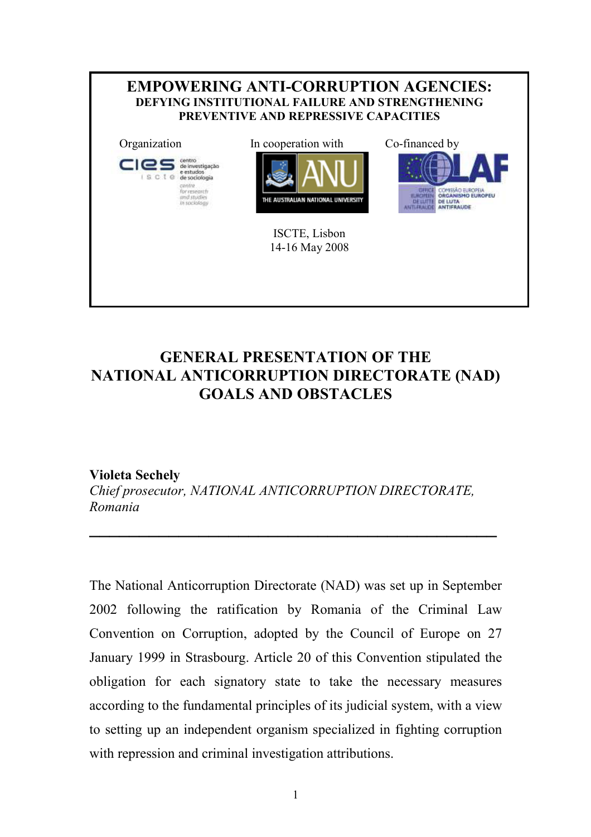

# GENERAL PRESENTATION OF THE NATIONAL ANTICORRUPTION DIRECTORATE (NAD) GOALS AND OBSTACLES

### Violeta Sechely

Chief prosecutor, NATIONAL ANTICORRUPTION DIRECTORATE, Romania

 $\overline{\phantom{a}}$  , and the contract of the contract of the contract of the contract of the contract of the contract of the contract of the contract of the contract of the contract of the contract of the contract of the contrac

The National Anticorruption Directorate (NAD) was set up in September 2002 following the ratification by Romania of the Criminal Law Convention on Corruption, adopted by the Council of Europe on 27 January 1999 in Strasbourg. Article 20 of this Convention stipulated the obligation for each signatory state to take the necessary measures according to the fundamental principles of its judicial system, with a view to setting up an independent organism specialized in fighting corruption with repression and criminal investigation attributions.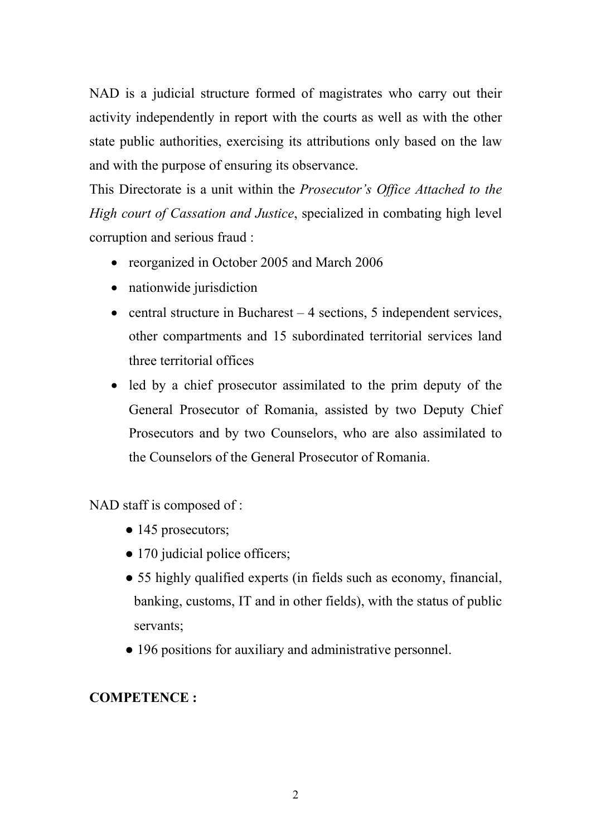NAD is a judicial structure formed of magistrates who carry out their activity independently in report with the courts as well as with the other state public authorities, exercising its attributions only based on the law and with the purpose of ensuring its observance.

This Directorate is a unit within the Prosecutor's Office Attached to the High court of Cassation and Justice, specialized in combating high level corruption and serious fraud :

- reorganized in October 2005 and March 2006
- nationwide jurisdiction
- central structure in Bucharest 4 sections, 5 independent services, other compartments and 15 subordinated territorial services land three territorial offices
- led by a chief prosecutor assimilated to the prim deputy of the General Prosecutor of Romania, assisted by two Deputy Chief Prosecutors and by two Counselors, who are also assimilated to the Counselors of the General Prosecutor of Romania.

NAD staff is composed of :

- 145 prosecutors;
- 170 judicial police officers;
- 55 highly qualified experts (in fields such as economy, financial, banking, customs, IT and in other fields), with the status of public servants;
- 196 positions for auxiliary and administrative personnel.

## COMPETENCE :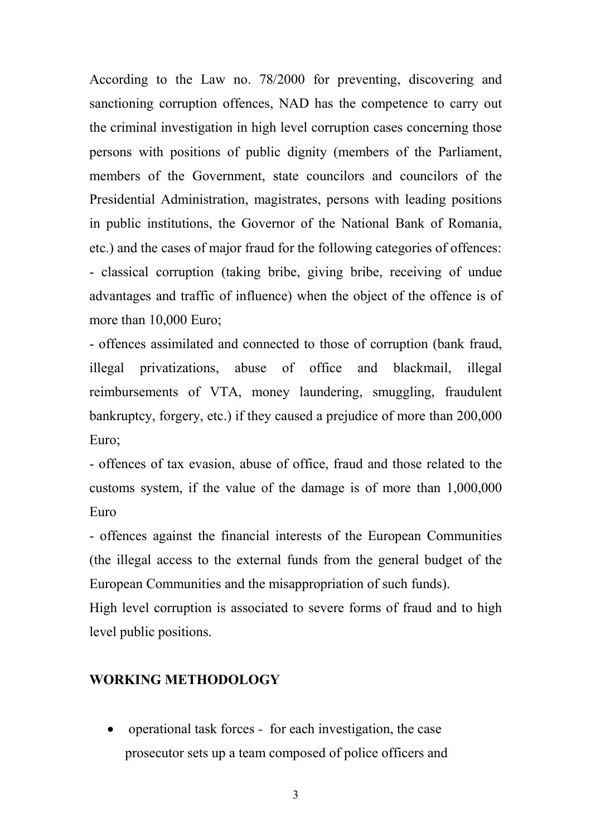According to the Law no. 78/2000 for preventing, discovering and sanctioning corruption offences, NAD has the competence to carry out the criminal investigation in high level corruption cases concerning those persons with positions of public dignity (members of the Parliament, members of the Government, state councilors and councilors of the Presidential Administration, magistrates, persons with leading positions in public institutions, the Governor of the National Bank of Romania, etc.) and the cases of major fraud for the following categories of offences: - classical corruption (taking bribe, giving bribe, receiving of undue advantages and traffic of influence) when the object of the offence is of more than 10,000 Euro;

- offences assimilated and connected to those of corruption (bank fraud, illegal privatizations, abuse of office and blackmail, illegal reimbursements of VTA, money laundering, smuggling, fraudulent bankruptcy, forgery, etc.) if they caused a prejudice of more than 200,000 Euro;

- offences of tax evasion, abuse of office, fraud and those related to the customs system, if the value of the damage is of more than 1,000,000 Euro

- offences against the financial interests of the European Communities (the illegal access to the external funds from the general budget of the European Communities and the misappropriation of such funds).

High level corruption is associated to severe forms of fraud and to high level public positions.

## WORKING METHODOLOGY

• operational task forces - for each investigation, the case prosecutor sets up a team composed of police officers and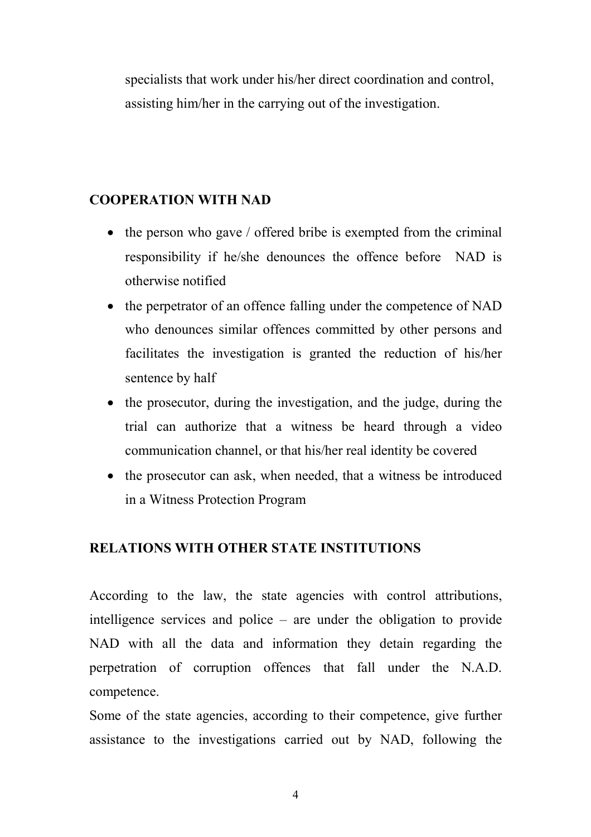specialists that work under his/her direct coordination and control, assisting him/her in the carrying out of the investigation.

## COOPERATION WITH NAD

- the person who gave / offered bribe is exempted from the criminal responsibility if he/she denounces the offence before NAD is otherwise notified
- the perpetrator of an offence falling under the competence of NAD who denounces similar offences committed by other persons and facilitates the investigation is granted the reduction of his/her sentence by half
- the prosecutor, during the investigation, and the judge, during the trial can authorize that a witness be heard through a video communication channel, or that his/her real identity be covered
- the prosecutor can ask, when needed, that a witness be introduced in a Witness Protection Program

## RELATIONS WITH OTHER STATE INSTITUTIONS

According to the law, the state agencies with control attributions, intelligence services and police – are under the obligation to provide NAD with all the data and information they detain regarding the perpetration of corruption offences that fall under the N.A.D. competence.

Some of the state agencies, according to their competence, give further assistance to the investigations carried out by NAD, following the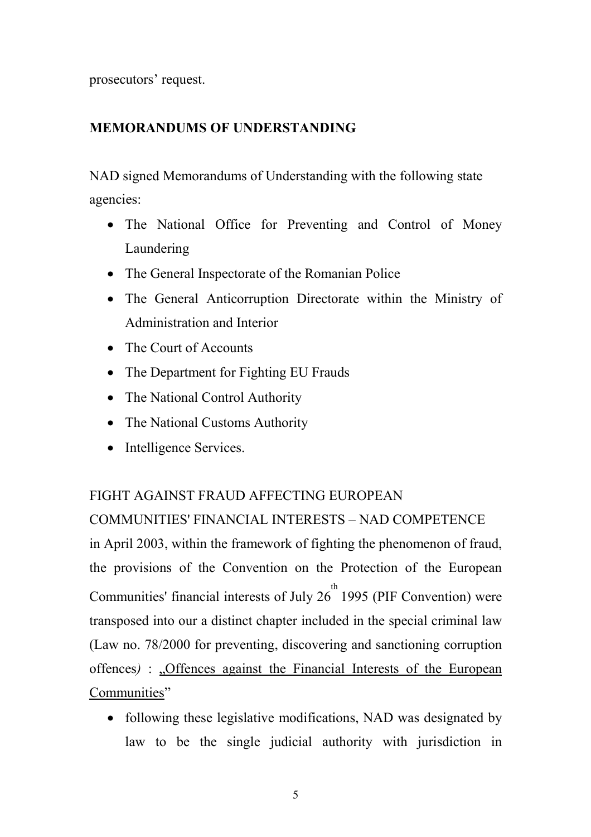prosecutors' request.

## MEMORANDUMS OF UNDERSTANDING

NAD signed Memorandums of Understanding with the following state agencies:

- The National Office for Preventing and Control of Money Laundering
- The General Inspectorate of the Romanian Police
- The General Anticorruption Directorate within the Ministry of Administration and Interior
- The Court of Accounts
- The Department for Fighting EU Frauds
- The National Control Authority
- The National Customs Authority
- Intelligence Services.

## FIGHT AGAINST FRAUD AFFECTING EUROPEAN

COMMUNITIES' FINANCIAL INTERESTS – NAD COMPETENCE in April 2003, within the framework of fighting the phenomenon of fraud, the provisions of the Convention on the Protection of the European Communities' financial interests of July  $26^{th}$  1995 (PIF Convention) were transposed into our a distinct chapter included in the special criminal law (Law no. 78/2000 for preventing, discovering and sanctioning corruption offences) : "Offences against the Financial Interests of the European Communities"

• following these legislative modifications, NAD was designated by law to be the single judicial authority with jurisdiction in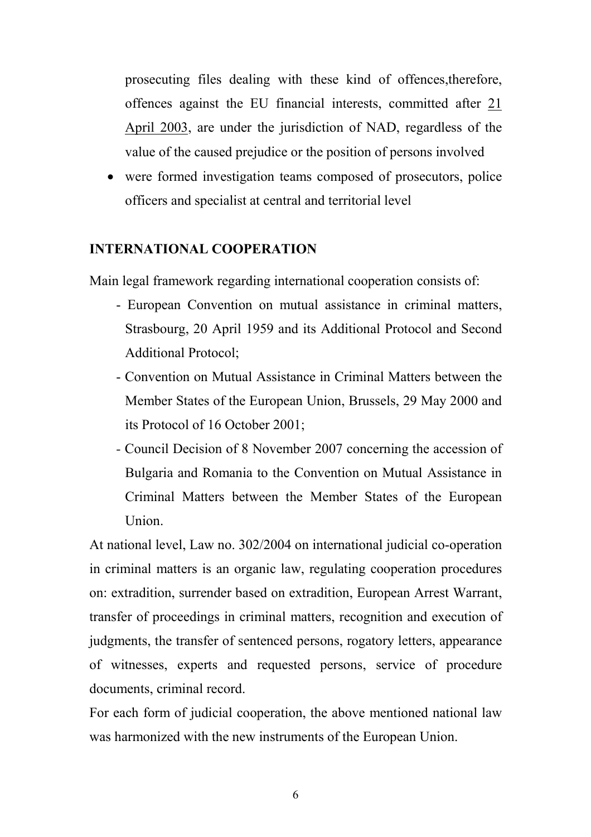prosecuting files dealing with these kind of offences,therefore, offences against the EU financial interests, committed after 21 April 2003, are under the jurisdiction of NAD, regardless of the value of the caused prejudice or the position of persons involved

• were formed investigation teams composed of prosecutors, police officers and specialist at central and territorial level

#### INTERNATIONAL COOPERATION

Main legal framework regarding international cooperation consists of:

- European Convention on mutual assistance in criminal matters, Strasbourg, 20 April 1959 and its Additional Protocol and Second Additional Protocol;
- Convention on Mutual Assistance in Criminal Matters between the Member States of the European Union, Brussels, 29 May 2000 and its Protocol of 16 October 2001;
- Council Decision of 8 November 2007 concerning the accession of Bulgaria and Romania to the Convention on Mutual Assistance in Criminal Matters between the Member States of the European Union.

At national level, Law no. 302/2004 on international judicial co-operation in criminal matters is an organic law, regulating cooperation procedures on: extradition, surrender based on extradition, European Arrest Warrant, transfer of proceedings in criminal matters, recognition and execution of judgments, the transfer of sentenced persons, rogatory letters, appearance of witnesses, experts and requested persons, service of procedure documents, criminal record.

For each form of judicial cooperation, the above mentioned national law was harmonized with the new instruments of the European Union.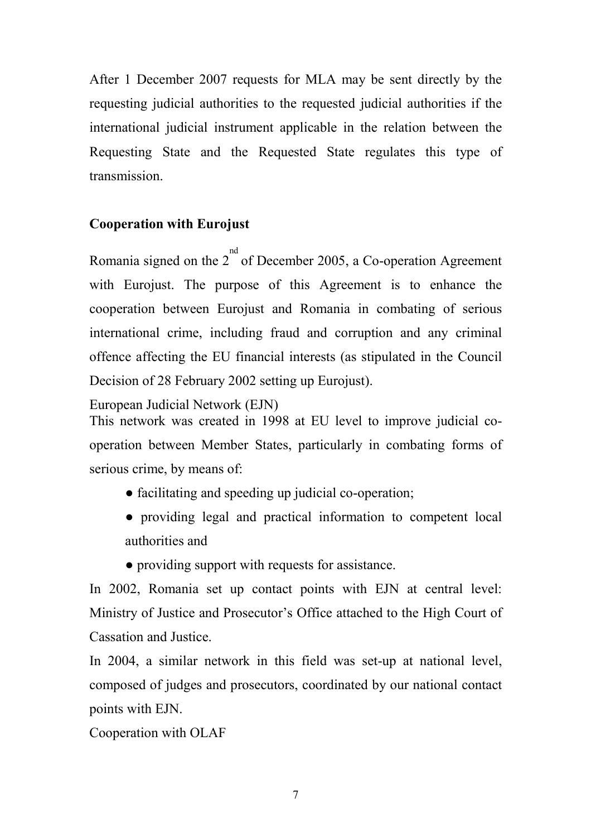After 1 December 2007 requests for MLA may be sent directly by the requesting judicial authorities to the requested judicial authorities if the international judicial instrument applicable in the relation between the Requesting State and the Requested State regulates this type of transmission.

## Cooperation with Eurojust

Romania signed on the  $2^{nd}$  of December 2005, a Co-operation Agreement with Eurojust. The purpose of this Agreement is to enhance the cooperation between Eurojust and Romania in combating of serious international crime, including fraud and corruption and any criminal offence affecting the EU financial interests (as stipulated in the Council Decision of 28 February 2002 setting up Eurojust).

European Judicial Network (EJN)

This network was created in 1998 at EU level to improve judicial cooperation between Member States, particularly in combating forms of serious crime, by means of:

- facilitating and speeding up judicial co-operation;
- providing legal and practical information to competent local authorities and
- providing support with requests for assistance.

In 2002, Romania set up contact points with EJN at central level: Ministry of Justice and Prosecutor's Office attached to the High Court of Cassation and Justice.

In 2004, a similar network in this field was set-up at national level, composed of judges and prosecutors, coordinated by our national contact points with EJN.

Cooperation with OLAF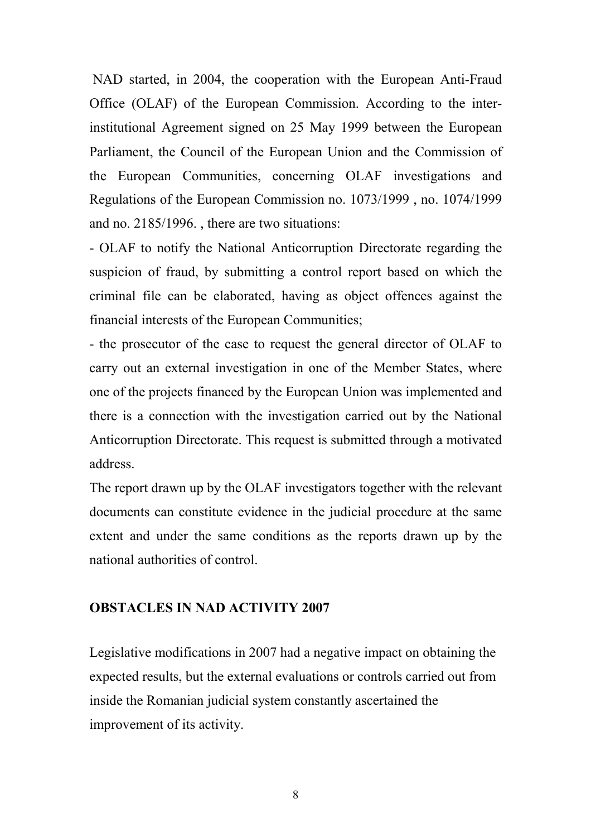NAD started, in 2004, the cooperation with the European Anti-Fraud Office (OLAF) of the European Commission. According to the interinstitutional Agreement signed on 25 May 1999 between the European Parliament, the Council of the European Union and the Commission of the European Communities, concerning OLAF investigations and Regulations of the European Commission no. 1073/1999 , no. 1074/1999 and no. 2185/1996. , there are two situations:

- OLAF to notify the National Anticorruption Directorate regarding the suspicion of fraud, by submitting a control report based on which the criminal file can be elaborated, having as object offences against the financial interests of the European Communities;

- the prosecutor of the case to request the general director of OLAF to carry out an external investigation in one of the Member States, where one of the projects financed by the European Union was implemented and there is a connection with the investigation carried out by the National Anticorruption Directorate. This request is submitted through a motivated address.

The report drawn up by the OLAF investigators together with the relevant documents can constitute evidence in the judicial procedure at the same extent and under the same conditions as the reports drawn up by the national authorities of control.

### OBSTACLES IN NAD ACTIVITY 2007

Legislative modifications in 2007 had a negative impact on obtaining the expected results, but the external evaluations or controls carried out from inside the Romanian judicial system constantly ascertained the improvement of its activity.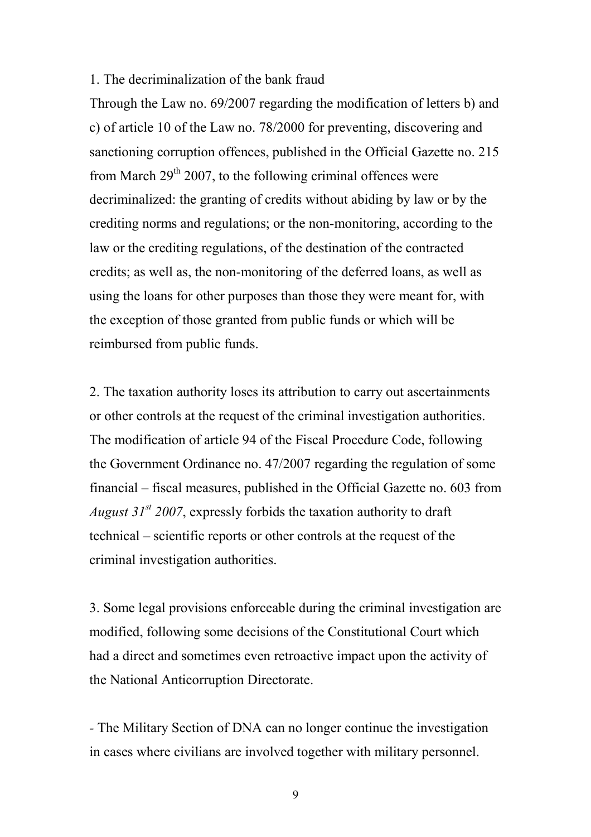#### 1. The decriminalization of the bank fraud

Through the Law no. 69/2007 regarding the modification of letters b) and c) of article 10 of the Law no. 78/2000 for preventing, discovering and sanctioning corruption offences, published in the Official Gazette no. 215 from March  $29<sup>th</sup> 2007$ , to the following criminal offences were decriminalized: the granting of credits without abiding by law or by the crediting norms and regulations; or the non-monitoring, according to the law or the crediting regulations, of the destination of the contracted credits; as well as, the non-monitoring of the deferred loans, as well as using the loans for other purposes than those they were meant for, with the exception of those granted from public funds or which will be reimbursed from public funds.

2. The taxation authority loses its attribution to carry out ascertainments or other controls at the request of the criminal investigation authorities. The modification of article 94 of the Fiscal Procedure Code, following the Government Ordinance no. 47/2007 regarding the regulation of some financial – fiscal measures, published in the Official Gazette no. 603 from August  $31^{st}$  2007, expressly forbids the taxation authority to draft technical – scientific reports or other controls at the request of the criminal investigation authorities.

3. Some legal provisions enforceable during the criminal investigation are modified, following some decisions of the Constitutional Court which had a direct and sometimes even retroactive impact upon the activity of the National Anticorruption Directorate.

- The Military Section of DNA can no longer continue the investigation in cases where civilians are involved together with military personnel.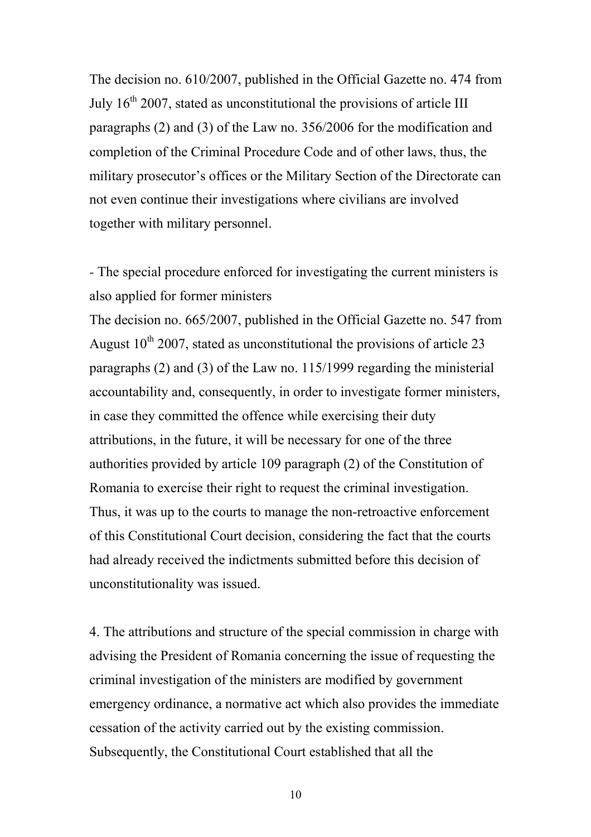The decision no. 610/2007, published in the Official Gazette no. 474 from July  $16<sup>th</sup> 2007$ , stated as unconstitutional the provisions of article III paragraphs (2) and (3) of the Law no. 356/2006 for the modification and completion of the Criminal Procedure Code and of other laws, thus, the military prosecutor's offices or the Military Section of the Directorate can not even continue their investigations where civilians are involved together with military personnel.

- The special procedure enforced for investigating the current ministers is also applied for former ministers

The decision no. 665/2007, published in the Official Gazette no. 547 from August  $10^{th}$  2007, stated as unconstitutional the provisions of article 23 paragraphs (2) and (3) of the Law no. 115/1999 regarding the ministerial accountability and, consequently, in order to investigate former ministers, in case they committed the offence while exercising their duty attributions, in the future, it will be necessary for one of the three authorities provided by article 109 paragraph (2) of the Constitution of Romania to exercise their right to request the criminal investigation. Thus, it was up to the courts to manage the non-retroactive enforcement of this Constitutional Court decision, considering the fact that the courts had already received the indictments submitted before this decision of unconstitutionality was issued.

4. The attributions and structure of the special commission in charge with advising the President of Romania concerning the issue of requesting the criminal investigation of the ministers are modified by government emergency ordinance, a normative act which also provides the immediate cessation of the activity carried out by the existing commission. Subsequently, the Constitutional Court established that all the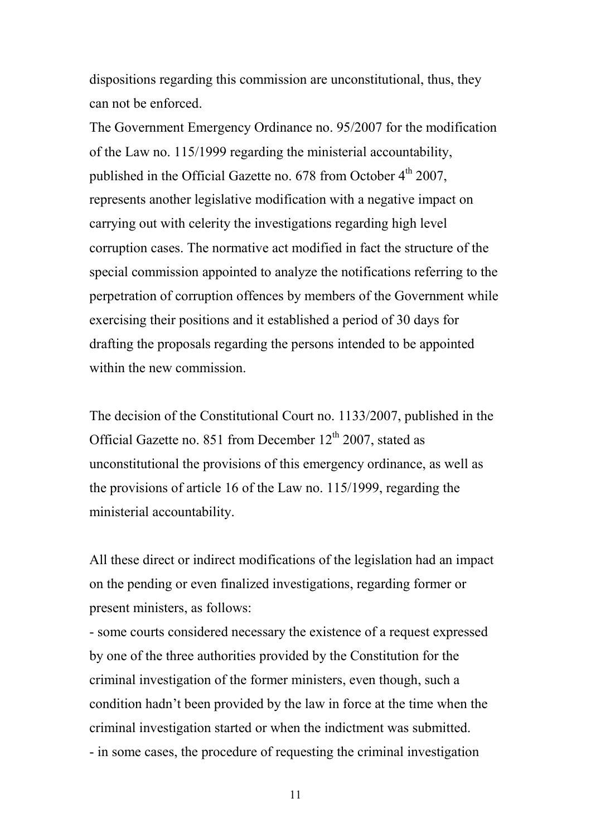dispositions regarding this commission are unconstitutional, thus, they can not be enforced.

The Government Emergency Ordinance no. 95/2007 for the modification of the Law no. 115/1999 regarding the ministerial accountability, published in the Official Gazette no. 678 from October  $4<sup>th</sup>$  2007, represents another legislative modification with a negative impact on carrying out with celerity the investigations regarding high level corruption cases. The normative act modified in fact the structure of the special commission appointed to analyze the notifications referring to the perpetration of corruption offences by members of the Government while exercising their positions and it established a period of 30 days for drafting the proposals regarding the persons intended to be appointed within the new commission.

The decision of the Constitutional Court no. 1133/2007, published in the Official Gazette no. 851 from December  $12<sup>th</sup> 2007$ , stated as unconstitutional the provisions of this emergency ordinance, as well as the provisions of article 16 of the Law no. 115/1999, regarding the ministerial accountability.

All these direct or indirect modifications of the legislation had an impact on the pending or even finalized investigations, regarding former or present ministers, as follows:

- some courts considered necessary the existence of a request expressed by one of the three authorities provided by the Constitution for the criminal investigation of the former ministers, even though, such a condition hadn't been provided by the law in force at the time when the criminal investigation started or when the indictment was submitted. - in some cases, the procedure of requesting the criminal investigation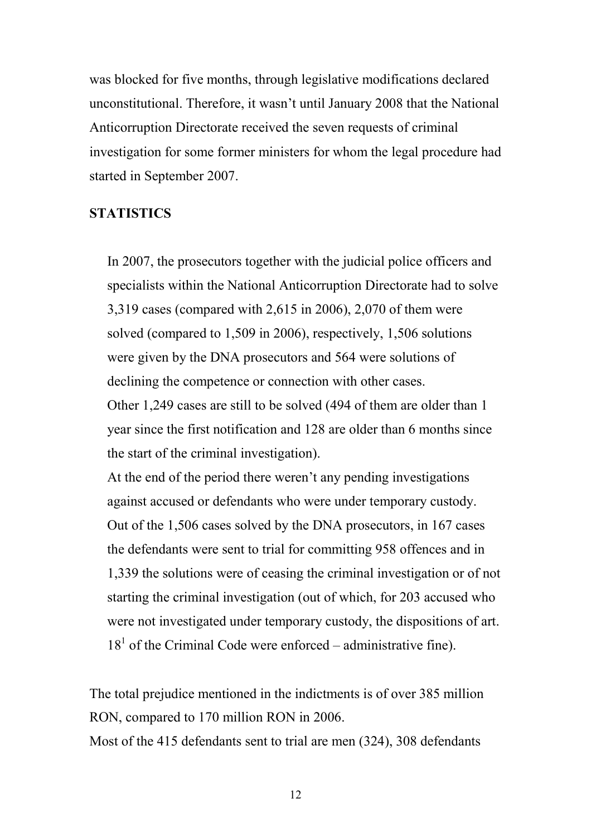was blocked for five months, through legislative modifications declared unconstitutional. Therefore, it wasn't until January 2008 that the National Anticorruption Directorate received the seven requests of criminal investigation for some former ministers for whom the legal procedure had started in September 2007.

## **STATISTICS**

In 2007, the prosecutors together with the judicial police officers and specialists within the National Anticorruption Directorate had to solve 3,319 cases (compared with 2,615 in 2006), 2,070 of them were solved (compared to 1,509 in 2006), respectively, 1,506 solutions were given by the DNA prosecutors and 564 were solutions of declining the competence or connection with other cases.

Other 1,249 cases are still to be solved (494 of them are older than 1 year since the first notification and 128 are older than 6 months since the start of the criminal investigation).

At the end of the period there weren't any pending investigations against accused or defendants who were under temporary custody. Out of the 1,506 cases solved by the DNA prosecutors, in 167 cases the defendants were sent to trial for committing 958 offences and in 1,339 the solutions were of ceasing the criminal investigation or of not starting the criminal investigation (out of which, for 203 accused who were not investigated under temporary custody, the dispositions of art.  $18<sup>1</sup>$  of the Criminal Code were enforced – administrative fine).

The total prejudice mentioned in the indictments is of over 385 million RON, compared to 170 million RON in 2006.

Most of the 415 defendants sent to trial are men (324), 308 defendants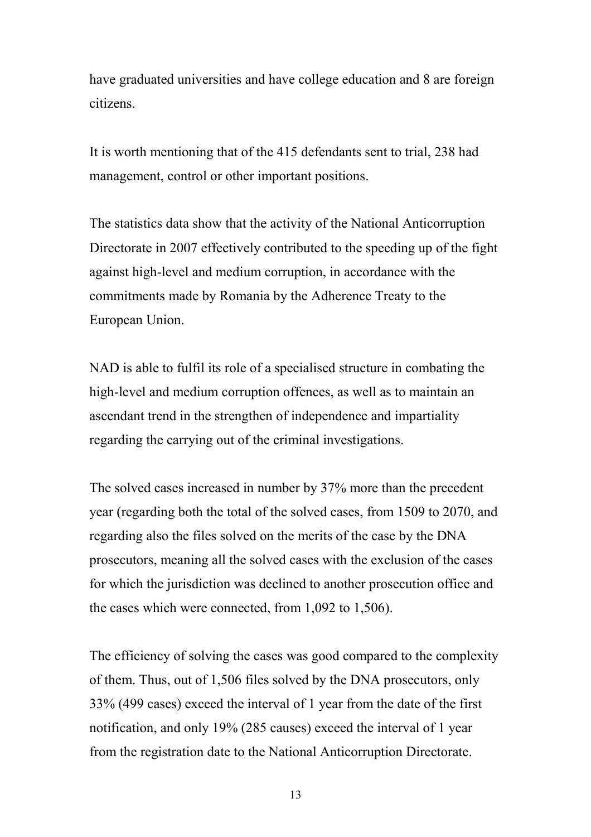have graduated universities and have college education and 8 are foreign citizens.

It is worth mentioning that of the 415 defendants sent to trial, 238 had management, control or other important positions.

The statistics data show that the activity of the National Anticorruption Directorate in 2007 effectively contributed to the speeding up of the fight against high-level and medium corruption, in accordance with the commitments made by Romania by the Adherence Treaty to the European Union.

NAD is able to fulfil its role of a specialised structure in combating the high-level and medium corruption offences, as well as to maintain an ascendant trend in the strengthen of independence and impartiality regarding the carrying out of the criminal investigations.

The solved cases increased in number by 37% more than the precedent year (regarding both the total of the solved cases, from 1509 to 2070, and regarding also the files solved on the merits of the case by the DNA prosecutors, meaning all the solved cases with the exclusion of the cases for which the jurisdiction was declined to another prosecution office and the cases which were connected, from 1,092 to 1,506).

The efficiency of solving the cases was good compared to the complexity of them. Thus, out of 1,506 files solved by the DNA prosecutors, only 33% (499 cases) exceed the interval of 1 year from the date of the first notification, and only 19% (285 causes) exceed the interval of 1 year from the registration date to the National Anticorruption Directorate.